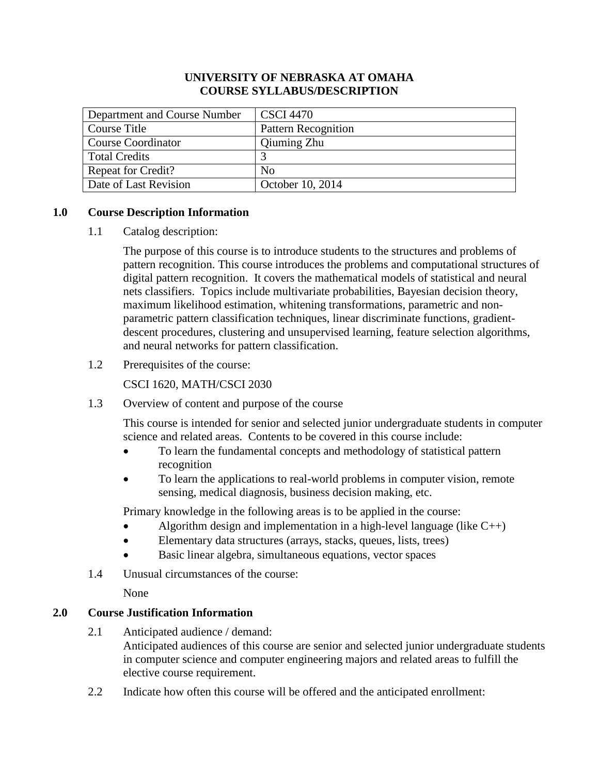## **UNIVERSITY OF NEBRASKA AT OMAHA COURSE SYLLABUS/DESCRIPTION**

| Department and Course Number | <b>CSCI</b> 4470           |
|------------------------------|----------------------------|
| Course Title                 | <b>Pattern Recognition</b> |
| <b>Course Coordinator</b>    | Qiuming Zhu                |
| <b>Total Credits</b>         |                            |
| <b>Repeat for Credit?</b>    | No                         |
| Date of Last Revision        | October 10, 2014           |

# **1.0 Course Description Information**

1.1 Catalog description:

The purpose of this course is to introduce students to the structures and problems of pattern recognition. This course introduces the problems and computational structures of digital pattern recognition. It covers the mathematical models of statistical and neural nets classifiers. Topics include multivariate probabilities, Bayesian decision theory, maximum likelihood estimation, whitening transformations, parametric and nonparametric pattern classification techniques, linear discriminate functions, gradientdescent procedures, clustering and unsupervised learning, feature selection algorithms, and neural networks for pattern classification.

1.2 Prerequisites of the course:

CSCI 1620, MATH/CSCI 2030

1.3 Overview of content and purpose of the course

This course is intended for senior and selected junior undergraduate students in computer science and related areas. Contents to be covered in this course include:

- To learn the fundamental concepts and methodology of statistical pattern recognition
- To learn the applications to real-world problems in computer vision, remote sensing, medical diagnosis, business decision making, etc.

Primary knowledge in the following areas is to be applied in the course:

- Algorithm design and implementation in a high-level language (like  $C_{++}$ )
- Elementary data structures (arrays, stacks, queues, lists, trees)
- Basic linear algebra, simultaneous equations, vector spaces
- 1.4 Unusual circumstances of the course:

None

# **2.0 Course Justification Information**

- 2.1 Anticipated audience / demand: Anticipated audiences of this course are senior and selected junior undergraduate students in computer science and computer engineering majors and related areas to fulfill the elective course requirement.
- 2.2 Indicate how often this course will be offered and the anticipated enrollment: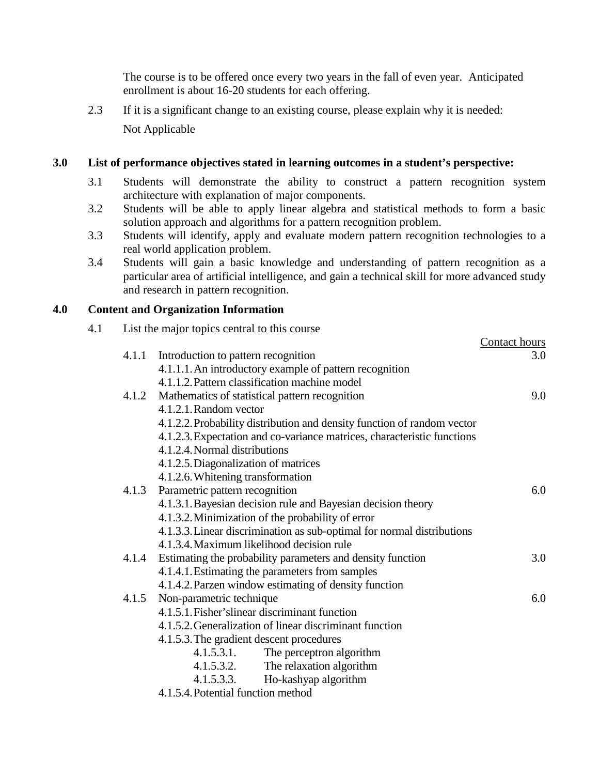The course is to be offered once every two years in the fall of even year. Anticipated enrollment is about 16-20 students for each offering.

2.3 If it is a significant change to an existing course, please explain why it is needed: Not Applicable

# **3.0 List of performance objectives stated in learning outcomes in a student's perspective:**

- 3.1 Students will demonstrate the ability to construct a pattern recognition system architecture with explanation of major components.
- 3.2 Students will be able to apply linear algebra and statistical methods to form a basic solution approach and algorithms for a pattern recognition problem.
- 3.3 Students will identify, apply and evaluate modern pattern recognition technologies to a real world application problem.
- 3.4 Students will gain a basic knowledge and understanding of pattern recognition as a particular area of artificial intelligence, and gain a technical skill for more advanced study and research in pattern recognition.

# **4.0 Content and Organization Information**

4.1 List the major topics central to this course

|       |                                                                         | Contact hours |
|-------|-------------------------------------------------------------------------|---------------|
| 4.1.1 | Introduction to pattern recognition                                     | 3.0           |
|       | 4.1.1.1. An introductory example of pattern recognition                 |               |
|       | 4.1.1.2. Pattern classification machine model                           |               |
| 4.1.2 | Mathematics of statistical pattern recognition                          | 9.0           |
|       | 4.1.2.1. Random vector                                                  |               |
|       | 4.1.2.2. Probability distribution and density function of random vector |               |
|       | 4.1.2.3. Expectation and co-variance matrices, characteristic functions |               |
|       | 4.1.2.4. Normal distributions                                           |               |
|       | 4.1.2.5. Diagonalization of matrices                                    |               |
|       | 4.1.2.6. Whitening transformation                                       |               |
| 4.1.3 | Parametric pattern recognition                                          | 6.0           |
|       | 4.1.3.1. Bayesian decision rule and Bayesian decision theory            |               |
|       | 4.1.3.2. Minimization of the probability of error                       |               |
|       | 4.1.3.3. Linear discrimination as sub-optimal for normal distributions  |               |
|       | 4.1.3.4. Maximum likelihood decision rule                               |               |
|       | 4.1.4 Estimating the probability parameters and density function        | 3.0           |
|       | 4.1.4.1. Estimating the parameters from samples                         |               |
|       | 4.1.4.2. Parzen window estimating of density function                   |               |
| 4.1.5 | Non-parametric technique                                                | 6.0           |
|       | 4.1.5.1. Fisher's linear discriminant function                          |               |
|       | 4.1.5.2. Generalization of linear discriminant function                 |               |
|       | 4.1.5.3. The gradient descent procedures                                |               |
|       | 4.1.5.3.1.<br>The perceptron algorithm                                  |               |
|       | 4.1.5.3.2. The relaxation algorithm                                     |               |
|       | 4.1.5.3.3. Ho-kashyap algorithm                                         |               |
|       | 4.1.5.4. Potential function method                                      |               |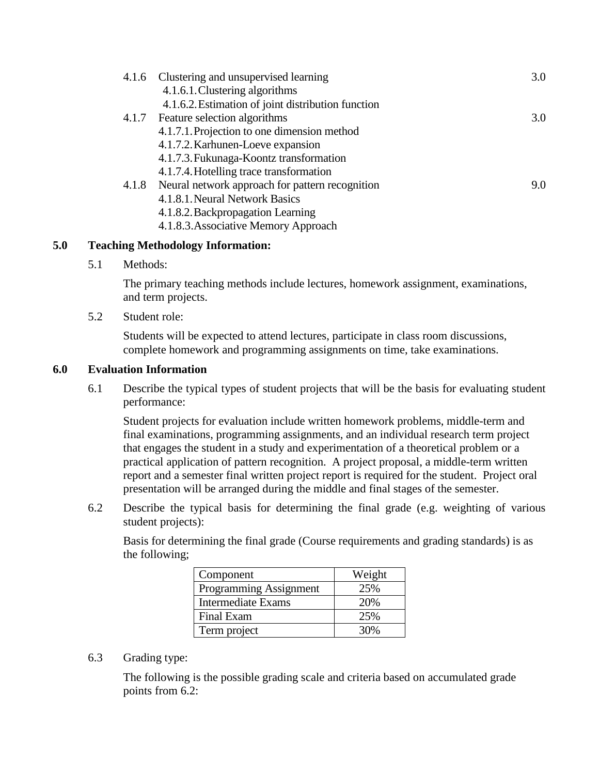| 4.1.6 Clustering and unsupervised learning            | 3.0 |
|-------------------------------------------------------|-----|
| 4.1.6.1. Clustering algorithms                        |     |
| 4.1.6.2. Estimation of joint distribution function    |     |
| 4.1.7 Feature selection algorithms                    | 3.0 |
| 4.1.7.1. Projection to one dimension method           |     |
| 4.1.7.2. Karhunen-Loeve expansion                     |     |
| 4.1.7.3. Fukunaga-Koontz transformation               |     |
| 4.1.7.4. Hotelling trace transformation               |     |
| 4.1.8 Neural network approach for pattern recognition | 9.0 |
| 4.1.8.1. Neural Network Basics                        |     |
| 4.1.8.2. Backpropagation Learning                     |     |
| 4.1.8.3. Associative Memory Approach                  |     |

# **5.0 Teaching Methodology Information:**

5.1 Methods:

The primary teaching methods include lectures, homework assignment, examinations, and term projects.

5.2 Student role:

Students will be expected to attend lectures, participate in class room discussions, complete homework and programming assignments on time, take examinations.

## **6.0 Evaluation Information**

6.1 Describe the typical types of student projects that will be the basis for evaluating student performance:

Student projects for evaluation include written homework problems, middle-term and final examinations, programming assignments, and an individual research term project that engages the student in a study and experimentation of a theoretical problem or a practical application of pattern recognition. A project proposal, a middle-term written report and a semester final written project report is required for the student. Project oral presentation will be arranged during the middle and final stages of the semester.

6.2 Describe the typical basis for determining the final grade (e.g. weighting of various student projects):

Basis for determining the final grade (Course requirements and grading standards) is as the following;

| Component                 | Weight |
|---------------------------|--------|
| Programming Assignment    | 25%    |
| <b>Intermediate Exams</b> | 20%    |
| Final Exam                | 25%    |
| Term project              | 30%    |

6.3 Grading type:

The following is the possible grading scale and criteria based on accumulated grade points from 6.2: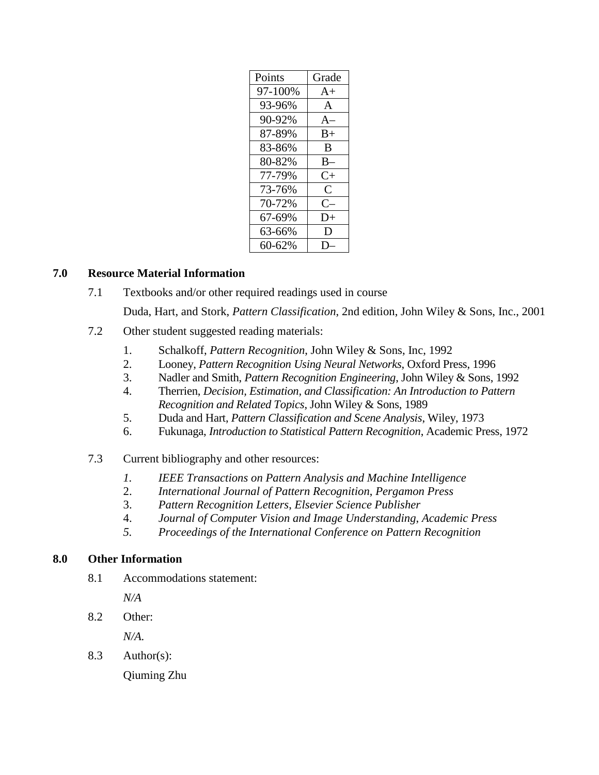| Points  | Grade        |
|---------|--------------|
| 97-100% | $A+$         |
| 93-96%  | $\mathsf{A}$ |
| 90-92%  | $A-$         |
| 87-89%  | $B+$         |
| 83-86%  | B            |
| 80-82%  | $B-$         |
| 77-79%  | $C+$         |
| 73-76%  | C            |
| 70-72%  | $C-$         |
| 67-69%  | D+           |
| 63-66%  | D            |
| 60-62%  |              |

## **7.0 Resource Material Information**

7.1 Textbooks and/or other required readings used in course

Duda, Hart, and Stork, *Pattern Classification*, 2nd edition, John Wiley & Sons, Inc., 2001

- 7.2 Other student suggested reading materials:
	- 1. Schalkoff, *Pattern Recognition*, John Wiley & Sons, Inc, 1992
	- 2. Looney, *Pattern Recognition Using Neural Networks*, Oxford Press, 1996
	- 3. Nadler and Smith, *Pattern Recognition Engineering*, John Wiley & Sons, 1992
	- 4. Therrien, *Decision, Estimation, and Classification: An Introduction to Pattern Recognition and Related Topics*, John Wiley & Sons, 1989
	- 5. Duda and Hart, *Pattern Classification and Scene Analysis*, Wiley, 1973
	- 6. Fukunaga, *Introduction to Statistical Pattern Recognition*, Academic Press, 1972

# 7.3 Current bibliography and other resources:

- *1. IEEE Transactions on Pattern Analysis and Machine Intelligence*
- 2. *International Journal of Pattern Recognition*, *Pergamon Press*
- 3. *Pattern Recognition Letters*, *Elsevier Science Publisher*
- 4. *Journal of Computer Vision and Image Understanding*, *Academic Press*
- *5. Proceedings of the International Conference on Pattern Recognition*

# **8.0 Other Information**

8.1 Accommodations statement:

*N/A*

8.2 Other:

*N/A.*

8.3 Author(s):

Qiuming Zhu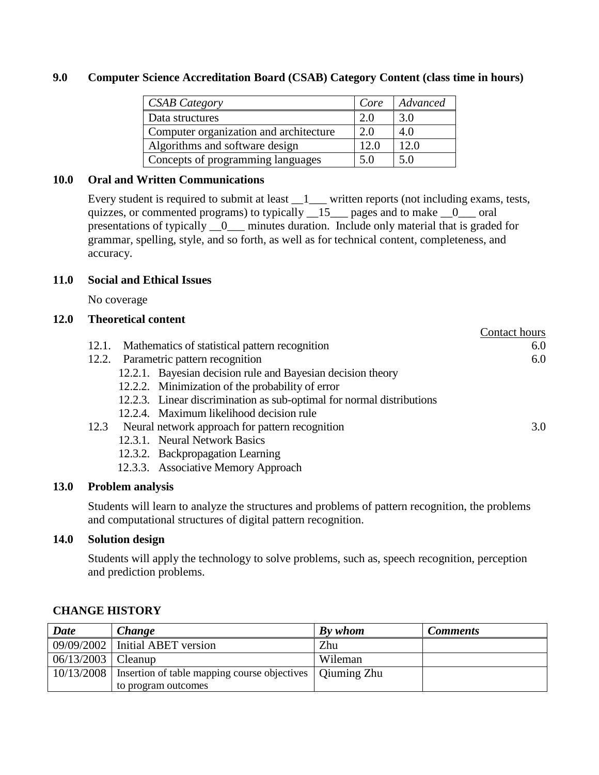### **9.0 Computer Science Accreditation Board (CSAB) Category Content (class time in hours)**

| <b>CSAB Category</b>                   | Core | Advanced |
|----------------------------------------|------|----------|
| Data structures                        | 2.0  | 3.0      |
| Computer organization and architecture | 2.0  | 4.0      |
| Algorithms and software design         | 12.0 | 12.0     |
| Concepts of programming languages      | 5.0  | 5.0      |

### **10.0 Oral and Written Communications**

Every student is required to submit at least  $\frac{1}{1}$  written reports (not including exams, tests, quizzes, or commented programs) to typically  $\_\_15\_\_$  pages and to make  $\_\_0\_\_$  oral presentations of typically \_\_0\_\_\_ minutes duration. Include only material that is graded for grammar, spelling, style, and so forth, as well as for technical content, completeness, and accuracy.

### **11.0 Social and Ethical Issues**

No coverage

### **12.0 Theoretical content**

|                                                                       | Contact hours |
|-----------------------------------------------------------------------|---------------|
| Mathematics of statistical pattern recognition<br>12.1.               | 6.0           |
| 12.2. Parametric pattern recognition                                  | 6.0           |
| 12.2.1. Bayesian decision rule and Bayesian decision theory           |               |
| 12.2.2. Minimization of the probability of error                      |               |
| 12.2.3. Linear discrimination as sub-optimal for normal distributions |               |
| 12.2.4. Maximum likelihood decision rule                              |               |
| Neural network approach for pattern recognition<br>12.3               | 3.0           |
| 12.3.1. Neural Network Basics                                         |               |
| 12.3.2. Backpropagation Learning                                      |               |
| 12.3.3. Associative Memory Approach                                   |               |

### **13.0 Problem analysis**

Students will learn to analyze the structures and problems of pattern recognition, the problems and computational structures of digital pattern recognition.

### **14.0 Solution design**

Students will apply the technology to solve problems, such as, speech recognition, perception and prediction problems.

| <b>Date</b> | Change                                                     | By whom | <b>Comments</b> |
|-------------|------------------------------------------------------------|---------|-----------------|
|             | $09/09/2002$ Initial ABET version                          | Zhu     |                 |
| 06/13/2003  | Cleanup                                                    | Wileman |                 |
| 10/13/2008  | Insertion of table mapping course objectives   Qiuming Zhu |         |                 |
|             | to program outcomes                                        |         |                 |

### **CHANGE HISTORY**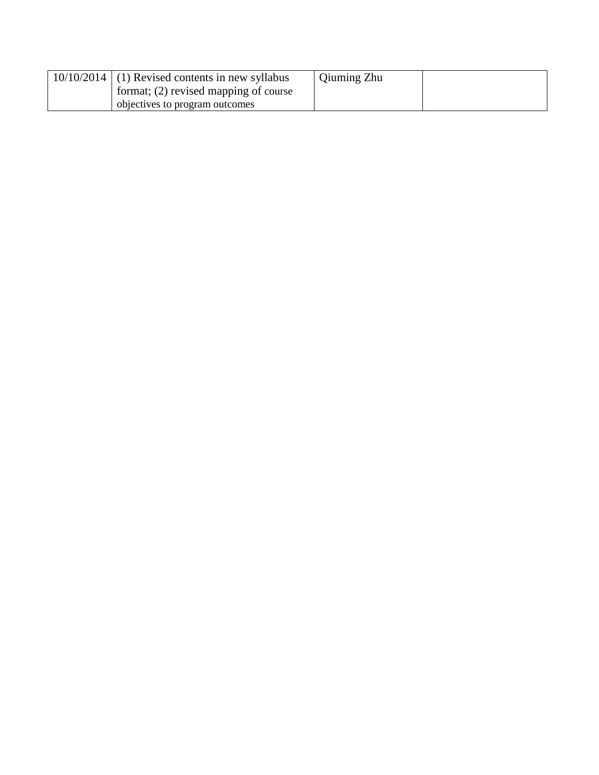|  | $10/10/2014$ (1) Revised contents in new syllabus | Qiuming Zhu |  |
|--|---------------------------------------------------|-------------|--|
|  | format; $(2)$ revised mapping of course           |             |  |
|  | objectives to program outcomes                    |             |  |